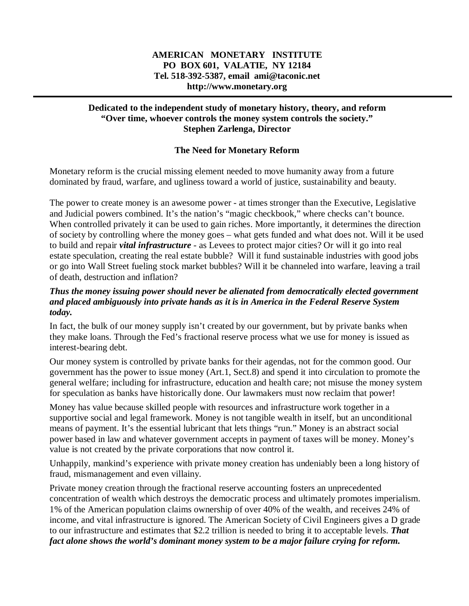## **AMERICAN MONETARY INSTITUTE PO BOX 601, VALATIE, NY 12184 Tel. 518-392-5387, email ami@taconic.net http://www.monetary.org**

## **Dedicated to the independent study of monetary history, theory, and reform "Over time, whoever controls the money system controls the society." Stephen Zarlenga, Director**

### **The Need for Monetary Reform**

Monetary reform is the crucial missing element needed to move humanity away from a future dominated by fraud, warfare, and ugliness toward a world of justice, sustainability and beauty.

The power to create money is an awesome power - at times stronger than the Executive, Legislative and Judicial powers combined. It's the nation's "magic checkbook," where checks can't bounce. When controlled privately it can be used to gain riches. More importantly, it determines the direction of society by controlling where the money goes – what gets funded and what does not. Will it be used to build and repair *vital infrastructure* - as Levees to protect major cities? Or will it go into real estate speculation, creating the real estate bubble? Will it fund sustainable industries with good jobs or go into Wall Street fueling stock market bubbles? Will it be channeled into warfare, leaving a trail of death, destruction and inflation?

### *Thus the money issuing power should never be alienated from democratically elected government and placed ambiguously into private hands as it is in America in the Federal Reserve System today.*

In fact, the bulk of our money supply isn't created by our government, but by private banks when they make loans. Through the Fed's fractional reserve process what we use for money is issued as interest-bearing debt.

Our money system is controlled by private banks for their agendas, not for the common good. Our government has the power to issue money (Art.1, Sect.8) and spend it into circulation to promote the general welfare; including for infrastructure, education and health care; not misuse the money system for speculation as banks have historically done. Our lawmakers must now reclaim that power!

Money has value because skilled people with resources and infrastructure work together in a supportive social and legal framework. Money is not tangible wealth in itself, but an unconditional means of payment. It's the essential lubricant that lets things "run." Money is an abstract social power based in law and whatever government accepts in payment of taxes will be money. Money's value is not created by the private corporations that now control it.

Unhappily, mankind's experience with private money creation has undeniably been a long history of fraud, mismanagement and even villainy.

Private money creation through the fractional reserve accounting fosters an unprecedented concentration of wealth which destroys the democratic process and ultimately promotes imperialism. 1% of the American population claims ownership of over 40% of the wealth, and receives 24% of income, and vital infrastructure is ignored. The American Society of Civil Engineers gives a D grade to our infrastructure and estimates that \$2.2 trillion is needed to bring it to acceptable levels. *That fact alone shows the world's dominant money system to be a major failure crying for reform.*